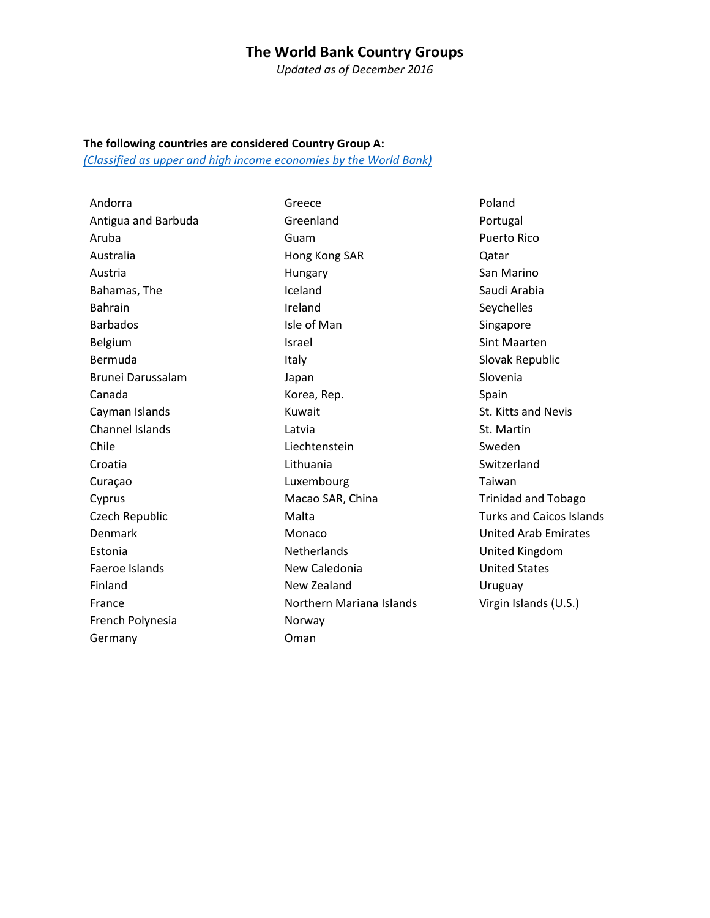## **The World Bank Country Groups**

*Updated as of December 2016*

#### **The following countries are considered Country Group A:**

*[\(Classified as upper and high income economies by the World Bank\)](https://datahelpdesk.worldbank.org/knowledgebase/articles/906519-world-bank-country-and-lending-groups)*

Andorra Antigua and Barbuda Aruba Australia Austria Bahamas, The Bahrain Barbados Belgium Bermuda Brunei Darussalam Canada Cayman Islands Channel Islands Chile Croatia Curaçao Cyprus Czech Republic Denmark Estonia Faeroe Islands Finland France French Polynesia **Germany** 

Greece Greenland Guam Hong Kong SAR Hungary Iceland Ireland Isle of Man Israel Italy Japan Korea, Rep. Kuwait Latvia Liechtenstein Lithuania Luxembourg Macao SAR, China Malta Monaco **Netherlands** New Caledonia New Zealand Northern Mariana Islands Norway Oman

Poland Portugal Puerto Rico Qatar San Marino Saudi Arabia Seychelles Singapore Sint Maarten Slovak Republic Slovenia Spain St. Kitts and Nevis St. Martin Sweden Switzerland Taiwan Trinidad and Tobago Turks and Caicos Islands United Arab Emirates United Kingdom United States Uruguay Virgin Islands (U.S.)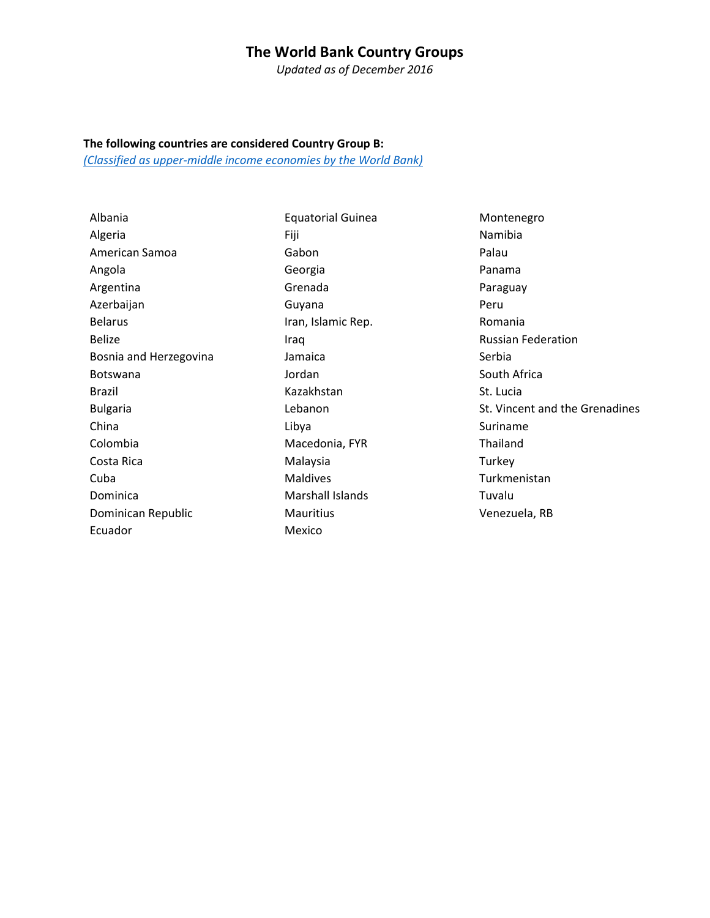# **The World Bank Country Groups**

*Updated as of December 2016*

### **The following countries are considered Country Group B:**

*[\(Classified as upper-middle income](https://datahelpdesk.worldbank.org/knowledgebase/articles/906519-world-bank-country-and-lending-groups) economies by the World Bank)*

Albania Algeria American Samoa Angola Argentina Azerbaijan Belarus Belize Bosnia and Herzegovina Botswana Brazil Bulgaria China Colombia Costa Rica Cuba Dominica Dominican Republic Ecuador

Equatorial Guinea Fiji Gabon Georgia Grenada Guyana Iran, Islamic Rep. Iraq Jamaica Jordan Kazakhstan Lebanon Libya Macedonia, FYR Malaysia Maldives Marshall Islands **Mauritius** Mexico

Montenegro Namibia Palau Panama Paraguay Peru Romania Russian Federation Serbia South Africa St. Lucia St. Vincent and the Grenadines Suriname Thailand Turkey Turkmenistan Tuvalu Venezuela, RB